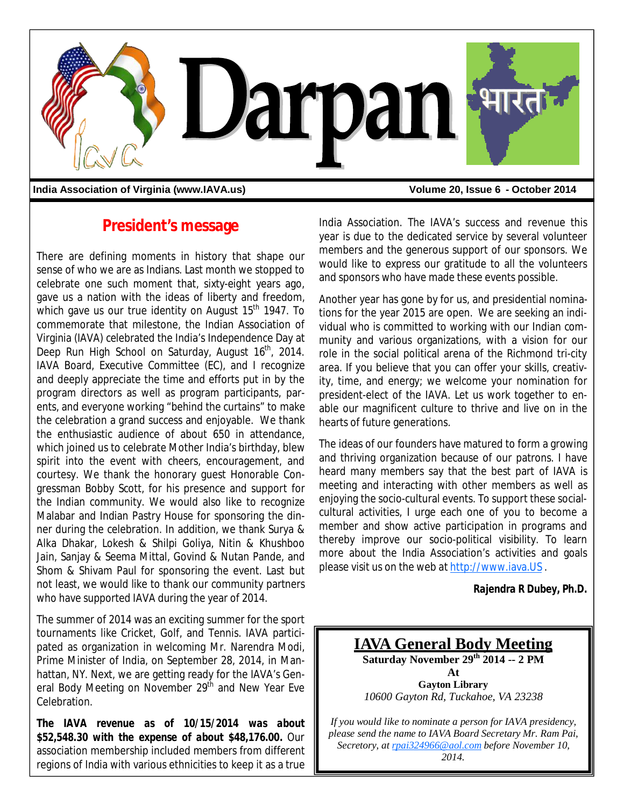

India Association of Virginia (www.IAVA.us) **Volume 20, Issue 6 - October 2014** 

## **President's message**

There are defining moments in history that shape our sense of who we are as Indians. Last month we stopped to celebrate one such moment that, sixty-eight years ago, gave us a nation with the ideas of liberty and freedom, which gave us our true identity on August  $15<sup>th</sup>$  1947. To commemorate that milestone, the Indian Association of Virginia (IAVA) celebrated the India's Independence Day at Deep Run High School on Saturday, August 16<sup>th</sup>, 2014. IAVA Board, Executive Committee (EC), and I recognize and deeply appreciate the time and efforts put in by the program directors as well as program participants, parents, and everyone working "behind the curtains" to make the celebration a grand success and enjoyable. We thank the enthusiastic audience of about 650 in attendance, which joined us to celebrate Mother India's birthday, blew spirit into the event with cheers, encouragement, and courtesy. We thank the honorary guest Honorable Congressman Bobby Scott, for his presence and support for the Indian community. We would also like to recognize Malabar and Indian Pastry House for sponsoring the dinner during the celebration. In addition, we thank Surya & Alka Dhakar, Lokesh & Shilpi Goliya, Nitin & Khushboo Jain, Sanjay & Seema Mittal, Govind & Nutan Pande, and Shom & Shivam Paul for sponsoring the event. Last but not least, we would like to thank our community partners who have supported IAVA during the year of 2014.

The summer of 2014 was an exciting summer for the sport tournaments like Cricket, Golf, and Tennis. IAVA participated as organization in welcoming Mr. Narendra Modi, Prime Minister of India, on September 28, 2014, in Manhattan, NY. Next, we are getting ready for the IAVA's General Body Meeting on November 29th and New Year Eve Celebration.

*The IAVA revenue as of 10/15/2014 was about \$52,548.30 with the expense of about \$48,176.00.* Our association membership included members from different regions of India with various ethnicities to keep it as a true

India Association. The IAVA's success and revenue this year is due to the dedicated service by several volunteer members and the generous support of our sponsors. We would like to express our gratitude to all the volunteers and sponsors who have made these events possible.

Another year has gone by for us, and presidential nominations for the year 2015 are open. We are seeking an individual who is committed to working with our Indian community and various organizations, with a vision for our role in the social political arena of the Richmond tri-city area. If you believe that you can offer your skills, creativity, time, and energy; we welcome your nomination for president-elect of the IAVA. Let us work together to enable our magnificent culture to thrive and live on in the hearts of future generations.

The ideas of our founders have matured to form a growing and thriving organization because of our patrons. I have heard many members say that the best part of IAVA is meeting and interacting with other members as well as enjoying the socio-cultural events. To support these socialcultural activities, I urge each one of you to become a member and show active participation in programs and thereby improve our socio-political visibility. To learn more about the India Association's activities and goals please visit us on the web at http://www.iava.US .

*Rajendra R Dubey, Ph.D.* 

**IAVA General Body Meeting Saturday November 29th 2014 -- 2 PM At Gayton Library** *10600 Gayton Rd, Tuckahoe, VA 23238*

*If you would like to nominate a person for IAVA presidency, please send the name to IAVA Board Secretary Mr. Ram Pai, Secretory, at rpai324966@aol.com before November 10, 2014.*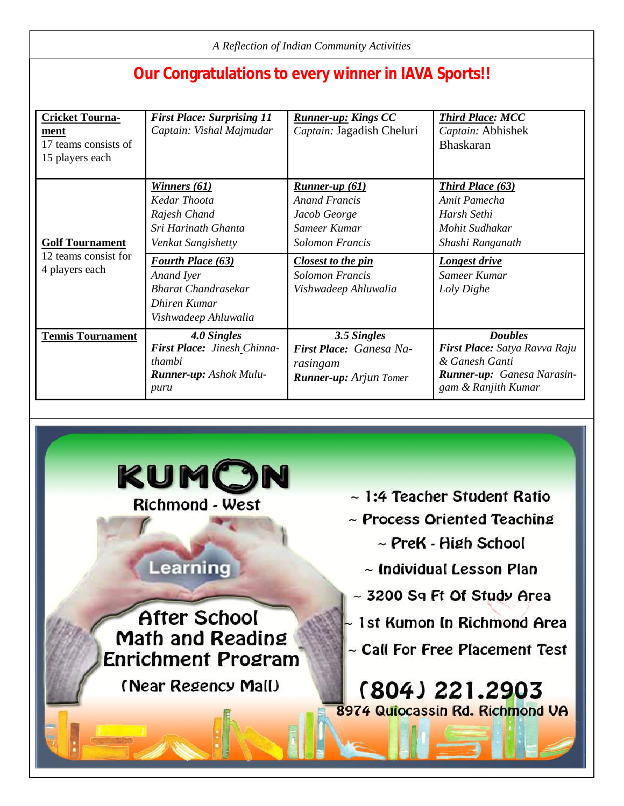| A Reflection of Indian Community Activities                               |                                                                                                              |                                                                                                    |                                                                                                                        |
|---------------------------------------------------------------------------|--------------------------------------------------------------------------------------------------------------|----------------------------------------------------------------------------------------------------|------------------------------------------------------------------------------------------------------------------------|
| <b>Our Congratulations to every winner in IAVA Sports!!</b>               |                                                                                                              |                                                                                                    |                                                                                                                        |
| <b>Cricket Tourna-</b><br>ment<br>17 teams consists of<br>15 players each | <b>First Place: Surprising 11</b><br>Captain: Vishal Majmudar                                                | <b>Runner-up: Kings CC</b><br>Captain: Jagadish Cheluri                                            | <b>Third Place: MCC</b><br>Captain: Abhishek<br><b>Bhaskaran</b>                                                       |
| <b>Golf Tournament</b><br>12 teams consist for<br>4 players each          | Winners (61)<br>Kedar Thoota<br>Rajesh Chand<br>Sri Harinath Ghanta<br>Venkat Sangishetty                    | Runner-up $(61)$<br><b>Anand Francis</b><br>Jacob George<br>Sameer Kumar<br><b>Solomon Francis</b> | <b>Third Place (63)</b><br>Amit Pamecha<br>Harsh Sethi<br>Mohit Sudhakar<br>Shashi Ranganath                           |
|                                                                           | <b>Fourth Place (63)</b><br>Anand Iyer<br><b>Bharat Chandrasekar</b><br>Dhiren Kumar<br>Vishwadeep Ahluwalia | <b>Closest to the pin</b><br><b>Solomon Francis</b><br>Vishwadeep Ahluwalia                        | <b>Longest drive</b><br>Sameer Kumar<br>Loly Dighe                                                                     |
| <b>Tennis Tournament</b>                                                  | 4.0 Singles<br>First Place: Jinesh Chinna-<br>thambi<br><b>Runner-up:</b> Ashok Mulu-<br>puru                | 3.5 Singles<br>First Place: Ganesa Na-<br>rasingam<br><b>Runner-up:</b> Arjun Tomer                | <b>Doubles</b><br>First Place: Satya Ravva Raju<br>& Ganesh Ganti<br>Runner-up: Ganesa Narasin-<br>gam & Ranjith Kumar |

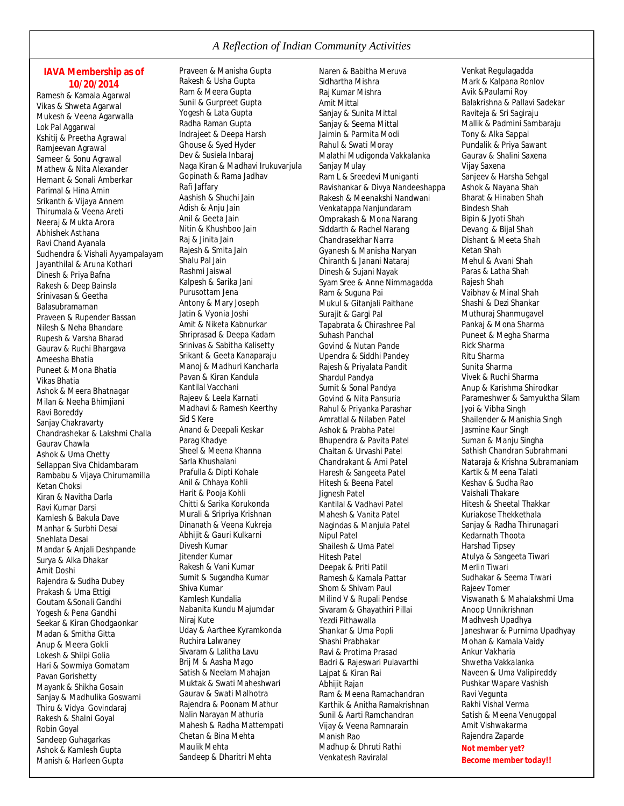#### **IAVA Membership as of 10/20/2014**

Ramesh & Kamala Agarwal Vikas & Shweta Agarwal Mukesh & Veena Agarwalla Lok Pal Aggarwal Kshitij & Preetha Agrawal Ramjeevan Agrawal Sameer & Sonu Agrawal Mathew & Nita Alexander Hemant & Sonali Amberkar Parimal & Hina Amin Srikanth & Vijaya Annem Thirumala & Veena Areti Neeraj & Mukta Arora Abhishek Asthana Ravi Chand Ayanala Sudhendra & Vishali Ayyampalayam Jayanthilal & Aruna Kothari Dinesh & Priya Bafna Rakesh & Deep Bainsla Srinivasan & Geetha Balasubramaman Praveen & Rupender Bassan Nilesh & Neha Bhandare Rupesh & Varsha Bharad Gaurav & Ruchi Bhargava Ameesha Bhatia Puneet & Mona Bhatia Vikas Bhatia Ashok & Meera Bhatnagar Milan & Neeha Bhimjiani Ravi Boreddy Sanjay Chakravarty Chandrashekar & Lakshmi Challa Gaurav Chawla Ashok & Uma Chetty Sellappan Siva Chidambaram Rambabu & Vijaya Chirumamilla Ketan Choksi Kiran & Navitha Darla Ravi Kumar Darsi Kamlesh & Bakula Dave Manhar & Surbhi Desai Snehlata Desai Mandar & Anjali Deshpande Surya & Alka Dhakar Amit Doshi Rajendra & Sudha Dubey Prakash & Uma Ettigi Goutam &Sonali Gandhi Yogesh & Pena Gandhi Seekar & Kiran Ghodgaonkar Madan & Smitha Gitta Anup & Meera Gokli Lokesh & Shilpi Golia Hari & Sowmiya Gomatam Pavan Gorishetty Mayank & Shikha Gosain Sanjay & Madhulika Goswami Thiru & Vidya Govindaraj Rakesh & Shalni Goyal Robin Goyal Sandeep Guhagarkas Ashok & Kamlesh Gupta Manish & Harleen Gupta

Praveen & Manisha Gupta Rakesh & Usha Gupta Ram & Meera Gupta Sunil & Gurpreet Gupta Yogesh & Lata Gupta Radha Raman Gupta Indrajeet & Deepa Harsh Ghouse & Syed Hyder Dev & Susiela Inbaraj Naga Kiran & Madhavi Irukuvarjula Gopinath & Rama Jadhav Rafi Jaffary Aashish & Shuchi Jain Adish & Anju Jain Anil & Geeta Jain Nitin & Khushboo Jain Raj & Jinita Jain Rajesh & Smita Jain Shalu Pal Jain Rashmi Jaiswal Kalpesh & Sarika Jani Purusottam Jena Antony & Mary Joseph Jatin & Vyonia Joshi Amit & Niketa Kabnurkar Shriprasad & Deepa Kadam Srinivas & Sabitha Kalisetty Srikant & Geeta Kanaparaju Manoj & Madhuri Kancharla Pavan & Kiran Kandula Kantilal Vacchani Rajeev & Leela Karnati Madhavi & Ramesh Keerthy Sid S Kere Anand & Deepali Keskar Parag Khadye Sheel & Meena Khanna Sarla Khushalani Prafulla & Dipti Kohale Anil & Chhaya Kohli Harit & Pooja Kohli Chitti & Sarika Korukonda Murali & Sripriya Krishnan Dinanath & Veena Kukreja Abhijit & Gauri Kulkarni Divesh Kumar Jitender Kumar Rakesh & Vani Kumar Sumit & Sugandha Kumar Shiva Kumar Kamlesh Kundalia Nabanita Kundu Majumdar Niraj Kute Uday & Aarthee Kyramkonda Ruchira Lalwaney Sivaram & Lalitha Lavu Brij M & Aasha Mago Satish & Neelam Mahajan Muktak & Swati Maheshwari Gaurav & Swati Malhotra Rajendra & Poonam Mathur Nalin Narayan Mathuria Mahesh & Radha Mattempati Chetan & Bina Mehta Maulik Mehta Sandeep & Dharitri Mehta

Naren & Babitha Meruva Sidhartha Mishra Raj Kumar Mishra Amit Mittal Sanjay & Sunita Mittal Sanjay & Seema Mittal Jaimin & Parmita Modi Rahul & Swati Moray Malathi Mudigonda Vakkalanka Sanjay Mulay Ram L & Sreedevi Muniganti Ravishankar & Divya Nandeeshappa Rakesh & Meenakshi Nandwani Venkatappa Nanjundaram Omprakash & Mona Narang Siddarth & Rachel Narang Chandrasekhar Narra Gyanesh & Manisha Naryan Chiranth & Janani Nataraj Dinesh & Sujani Nayak Syam Sree & Anne Nimmagadda Ram & Suguna Pai Mukul & Gitanjali Paithane Surajit & Gargi Pal Tapabrata & Chirashree Pal Suhash Panchal Govind & Nutan Pande Upendra & Siddhi Pandey Rajesh & Priyalata Pandit Shardul Pandya Sumit & Sonal Pandya Govind & Nita Pansuria Rahul & Priyanka Parashar Amratlal & Nilaben Patel Ashok & Prabha Patel Bhupendra & Pavita Patel Chaitan & Urvashi Patel Chandrakant & Ami Patel Haresh & Sangeeta Patel Hitesh & Beena Patel Jignesh Patel Kantilal & Vadhavi Patel Mahesh & Vanita Patel Nagindas & Manjula Patel Nipul Patel Shailesh & Uma Patel Hitesh Patel Deepak & Priti Patil Ramesh & Kamala Pattar Shom & Shivam Paul Milind V & Rupali Pendse Sivaram & Ghayathiri Pillai Yezdi Pithawalla Shankar & Uma Popli Shashi Prabhakar Ravi & Protima Prasad Badri & Rajeswari Pulavarthi Lajpat & Kiran Rai Abhijit Rajan Ram & Meena Ramachandran Karthik & Anitha Ramakrishnan Sunil & Aarti Ramchandran Vijay & Veena Ramnarain Manish Rao Madhup & Dhruti Rathi Venkatesh Raviralal

Venkat Regulagadda Mark & Kalpana Ronlov Avik &Paulami Roy Balakrishna & Pallavi Sadekar Raviteja & Sri Sagiraju Mallik & Padmini Sambaraju Tony & Alka Sappal Pundalik & Priya Sawant Gaurav & Shalini Saxena Vijay Saxena Sanjeev & Harsha Sehgal Ashok & Nayana Shah Bharat & Hinaben Shah Bindesh Shah Bipin & Jyoti Shah Devang & Bijal Shah Dishant & Meeta Shah Ketan Shah Mehul & Avani Shah Paras & Latha Shah Rajesh Shah Vaibhav & Minal Shah Shashi & Dezi Shankar Muthuraj Shanmugavel Pankaj & Mona Sharma Puneet & Megha Sharma Rick Sharma Ritu Sharma Sunita Sharma Vivek & Ruchi Sharma Anup & Karishma Shirodkar Parameshwer & Samyuktha Silam Jyoi & Vibha Singh Shailender & Manishia Singh Jasmine Kaur Singh Suman & Manju Singha Sathish Chandran Subrahmani Nataraja & Krishna Subramaniam Kartik & Meena Talati Keshav & Sudha Rao Vaishali Thakare Hitesh & Sheetal Thakkar Kuriakose Thekkethala Sanjay & Radha Thirunagari Kedarnath Thoota Harshad Tipsey Atulya & Sangeeta Tiwari Merlin Tiwari Sudhakar & Seema Tiwari Rajeev Tomer Viswanath & Mahalakshmi Uma Anoop Unnikrishnan Madhvesh Upadhya Janeshwar & Purnima Upadhyay Mohan & Kamala Vaidy Ankur Vakharia Shwetha Vakkalanka Naveen & Uma Valipireddy Pushkar Wapare Vashish Ravi Vegunta Rakhi Vishal Verma Satish & Meena Venugopal Amit Vishwakarma Rajendra Zaparde **Not member yet? Become member today!!**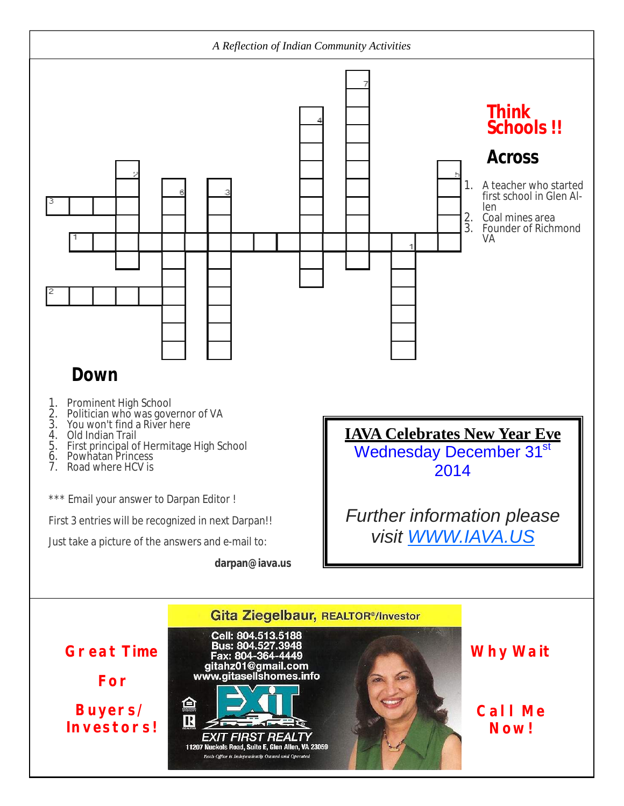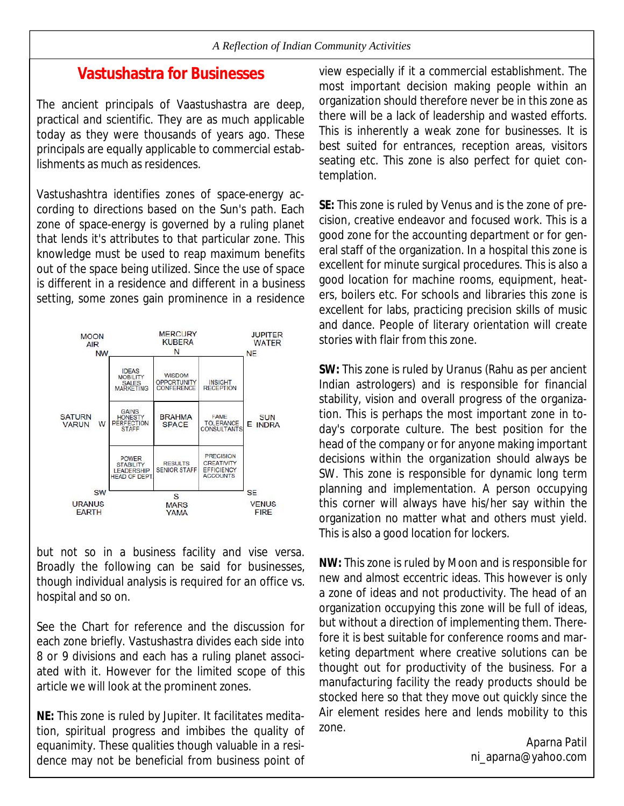#### **Vastushastra for Businesses**

The ancient principals of Vaastushastra are deep, practical and scientific. They are as much applicable today as they were thousands of years ago. These principals are equally applicable to commercial establishments as much as residences.

Vastushashtra identifies zones of space-energy according to directions based on the Sun's path. Each zone of space-energy is governed by a ruling planet that lends it's attributes to that particular zone. This knowledge must be used to reap maximum benefits out of the space being utilized. Since the use of space is different in a residence and different in a business setting, some zones gain prominence in a residence



but not so in a business facility and vise versa. Broadly the following can be said for businesses, though individual analysis is required for an office vs. hospital and so on.

See the Chart for reference and the discussion for each zone briefly. Vastushastra divides each side into 8 or 9 divisions and each has a ruling planet associated with it. However for the limited scope of this article we will look at the prominent zones.

**NE:** This zone is ruled by Jupiter. It facilitates meditation, spiritual progress and imbibes the quality of equanimity. These qualities though valuable in a residence may not be beneficial from business point of view especially if it a commercial establishment. The most important decision making people within an organization should therefore never be in this zone as there will be a lack of leadership and wasted efforts. This is inherently a weak zone for businesses. It is best suited for entrances, reception areas, visitors seating etc. This zone is also perfect for quiet contemplation.

**SE:** This zone is ruled by Venus and is the zone of precision, creative endeavor and focused work. This is a good zone for the accounting department or for general staff of the organization. In a hospital this zone is excellent for minute surgical procedures. This is also a good location for machine rooms, equipment, heaters, boilers etc. For schools and libraries this zone is excellent for labs, practicing precision skills of music and dance. People of literary orientation will create stories with flair from this zone.

**SW:** This zone is ruled by Uranus (Rahu as per ancient Indian astrologers) and is responsible for financial stability, vision and overall progress of the organization. This is perhaps the most important zone in today's corporate culture. The best position for the head of the company or for anyone making important decisions within the organization should always be SW. This zone is responsible for dynamic long term planning and implementation. A person occupying this corner will always have his/her say within the organization no matter what and others must yield. This is also a good location for lockers.

**NW:** This zone is ruled by Moon and is responsible for new and almost eccentric ideas. This however is only a zone of ideas and not productivity. The head of an organization occupying this zone will be full of ideas, but without a direction of implementing them. Therefore it is best suitable for conference rooms and marketing department where creative solutions can be thought out for productivity of the business. For a manufacturing facility the ready products should be stocked here so that they move out quickly since the Air element resides here and lends mobility to this zone.

> Aparna Patil ni\_aparna@yahoo.com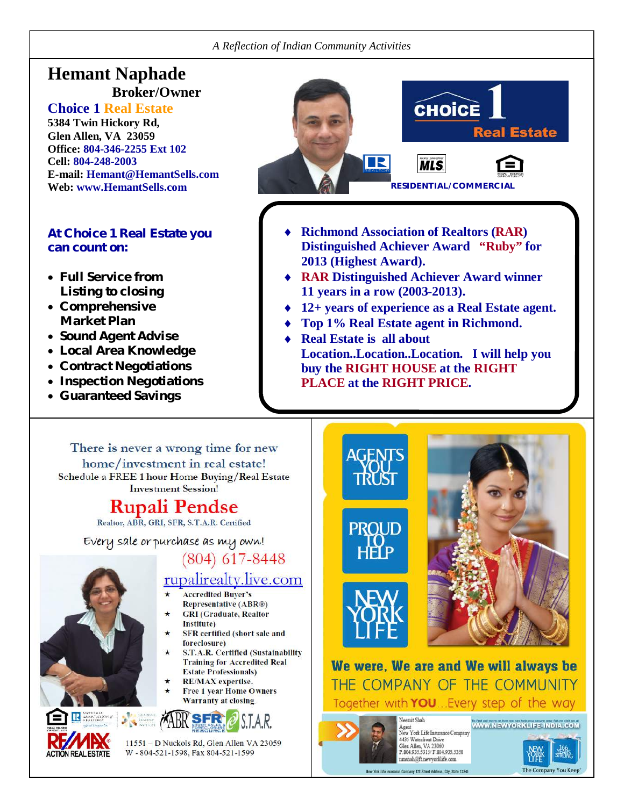### **Hemant Naphade Broker/Owner**

#### **Choice 1 Real Estate**

**5384 Twin Hickory Rd, Glen Allen, VA 23059 Office: 804-346-2255 Ext 102 Cell: 804-248-2003 E-mail: Hemant@HemantSells.com**

#### **At Choice 1 Real Estate you can count on:**

- **Full Service from Listing to closing**
- **Comprehensive Market Plan**
- **Sound Agent Advise**
- **Local Area Knowledge**
- **Contract Negotiations**
- **Inspection Negotiations**
- **Guaranteed Savings**

**ION REAL ESTATE** 



- **Richmond Association of Realtors (RAR) Distinguished Achiever Award "Ruby" for 2013 (Highest Award).**
- **RAR Distinguished Achiever Award winner 11 years in a row (2003-2013).**
- **12+ years of experience as a Real Estate agent.**
- **Top 1% Real Estate agent in Richmond.**
- **Real Estate is all about Location..Location..Location. I will help you buy the RIGHT HOUSE at the RIGHT PLACE at the RIGHT PRICE.**

There is never a wrong time for new home/investment in real estate! Schedule a FREE 1 hour Home Buying/Real Estate **Investment Session!** 

## **Rupali Pendse**

Realtor, ABR, GRI, SFR, S.T.A.R. Certified

Every sale or purchase as my own!

 $(804)$  617-8448

## rupalirealty.live.com

- **Accredited Buyer's** Representative (ABR®)
- **GRI** (Graduate, Realtor Institute)
- SFR certified (short sale and foreclosure)
- S.T.A.R. Certified (Sustainability **Training for Accredited Real**
- **Estate Professionals)** RE/MAX expertise.
- **Free 1 year Home Owners Warranty at closing.**



11551 - D Nuckols Rd, Glen Allen VA 23059 W - 804-521-1598, Fax 804-521-1599



We were, We are and We will always be THE COMPANY OF THE COMMUNITY Together with **YOU**... Every step of the way



HHP

Agent<br>New York Life Insurance Company 4435 Waterfront Drive<br>Glen Allen, VA 23060 P.804.935.5315/ F.804.935.5350 unsbah@ft.newyorklife.com

Insurance Company 123 Street Address, City, State 12345

Neemit Shah

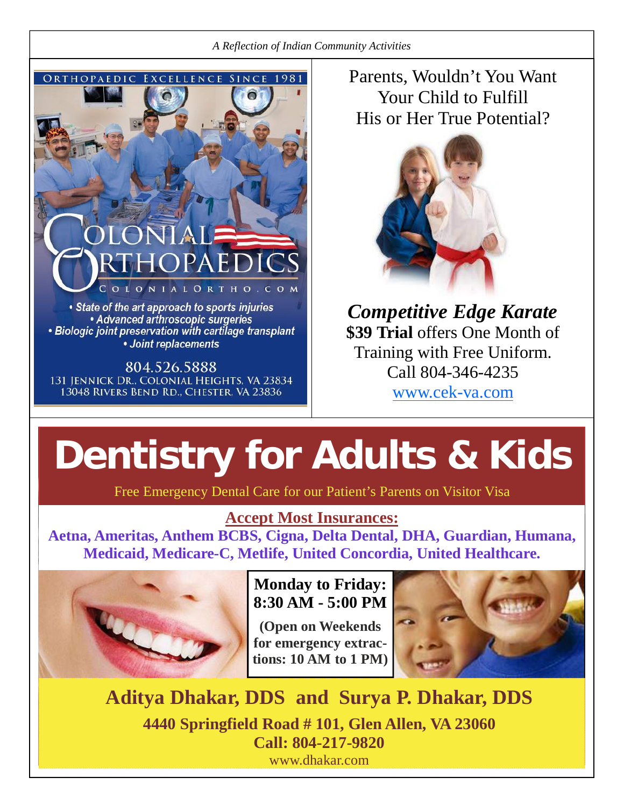

# **IALORTHO**  $\mathbf N$

• State of the art approach to sports injuries • Advanced arthroscopic surgeries • Biologic joint preservation with cartilage transplant • Joint replacements

804.526.5888 131 JENNICK DR., COLONIAL HEIGHTS, VA 23834 13048 RIVERS BEND RD., CHESTER, VA 23836

Parents, Wouldn't You Want Your Child to Fulfill His or Her True Potential?



*Competitive Edge Karate* **\$39 Trial** offers One Month of Training with Free Uniform. Call 804-346-4235

www.cek-va.com

## **Dentistry for Adults & Kids**

Free Emergency Dental Care for our Patient's Parents on Visitor Visa

## **Accept Most Insurances:**

**Aetna, Ameritas, Anthem BCBS, Cigna, Delta Dental, DHA, Guardian, Humana, Medicaid, Medicare-C, Metlife, United Concordia, United Healthcare.**



## **Monday to Friday: 8:30 AM - 5:00 PM**

**(Open on Weekends for emergency extractions: 10 AM to 1 PM)**



**Aditya Dhakar, DDS and Surya P. Dhakar, DDS 4440 Springfield Road # 101, Glen Allen, VA 23060 Call: 804-217-9820** www.dhakar.com